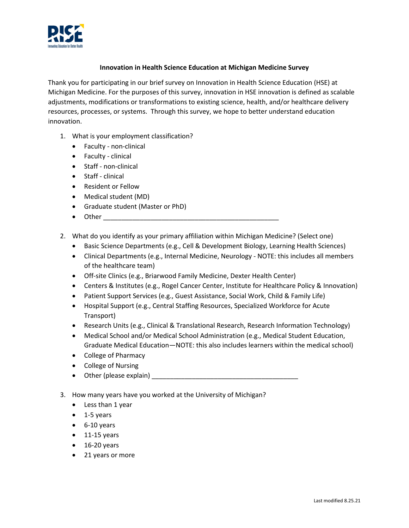

## **Innovation in Health Science Education at Michigan Medicine Survey**

Thank you for participating in our brief survey on Innovation in Health Science Education (HSE) at Michigan Medicine. For the purposes of this survey, innovation in HSE innovation is defined as scalable adjustments, modifications or transformations to existing science, health, and/or healthcare delivery resources, processes, or systems. Through this survey, we hope to better understand education innovation.

- 1. What is your employment classification?
	- Faculty non-clinical
	- Faculty clinical
	- Staff non-clinical
	- Staff clinical
	- Resident or Fellow
	- Medical student (MD)
	- Graduate student (Master or PhD)
	- $\bullet$  Other  $\qquad \qquad$
- 2. What do you identify as your primary affiliation within Michigan Medicine? (Select one)
	- Basic Science Departments (e.g., Cell & Development Biology, Learning Health Sciences)
	- Clinical Departments (e.g., Internal Medicine, Neurology NOTE: this includes all members of the healthcare team)
	- Off-site Clinics (e.g., Briarwood Family Medicine, Dexter Health Center)
	- Centers & Institutes (e.g., Rogel Cancer Center, Institute for Healthcare Policy & Innovation)
	- Patient Support Services (e.g., Guest Assistance, Social Work, Child & Family Life)
	- Hospital Support (e.g., Central Staffing Resources, Specialized Workforce for Acute Transport)
	- Research Units (e.g., Clinical & Translational Research, Research Information Technology)
	- Medical School and/or Medical School Administration (e.g., Medical Student Education, Graduate Medical Education—NOTE: this also includes learners within the medical school)
	- College of Pharmacy
	- College of Nursing
	- Other (please explain) \_\_\_\_\_\_\_\_\_\_\_\_\_\_\_\_\_\_\_\_\_\_\_\_\_\_\_\_\_\_\_\_\_\_\_\_\_\_\_\_
- 3. How many years have you worked at the University of Michigan?
	- Less than 1 year
	- 1-5 years
	- 6-10 years
	- $\bullet$  11-15 years
	- $\bullet$  16-20 years
	- 21 years or more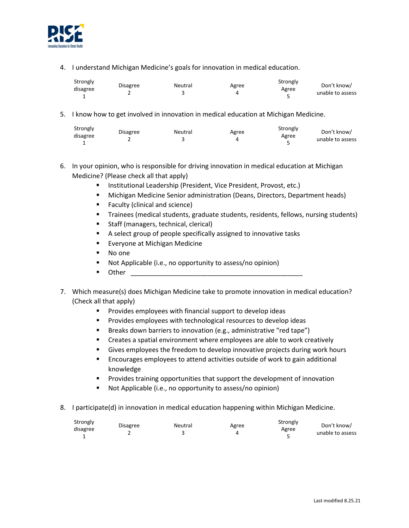

4. I understand Michigan Medicine's goals for innovation in medical education.

| Strongly | <b>Disagree</b> | Neutral |       | Strongly | Don't know/      |
|----------|-----------------|---------|-------|----------|------------------|
| disagree |                 |         | Agree | Agree    | unable to assess |
|          |                 |         |       |          |                  |

5. I know how to get involved in innovation in medical education at Michigan Medicine.

| Strongly | <b>Disagree</b> | Neutral |       | Strongly | Don't know/      |
|----------|-----------------|---------|-------|----------|------------------|
| disagree |                 |         | Agree | Agree    | unable to assess |
|          |                 |         |       |          |                  |

- 6. In your opinion, who is responsible for driving innovation in medical education at Michigan Medicine? (Please check all that apply)
	- **Institutional Leadership (President, Vice President, Provost, etc.)**
	- **Michigan Medicine Senior administration (Deans, Directors, Department heads)**
	- **Faculty (clinical and science)**
	- Trainees (medical students, graduate students, residents, fellows, nursing students)
	- **Staff (managers, technical, clerical)**
	- A select group of people specifically assigned to innovative tasks
	- **Exeryone at Michigan Medicine**
	- No one
	- Not Applicable (i.e., no opportunity to assess/no opinion)
	- $\blacksquare$  Other  $\blacksquare$
- 7. Which measure(s) does Michigan Medicine take to promote innovation in medical education? (Check all that apply)
	- **Provides employees with financial support to develop ideas**
	- **Provides employees with technological resources to develop ideas**
	- **Breaks down barriers to innovation (e.g., administrative "red tape")**
	- **EXP** Creates a spatial environment where employees are able to work creatively
	- Gives employees the freedom to develop innovative projects during work hours
	- **Encourages employees to attend activities outside of work to gain additional** knowledge
	- **Provides training opportunities that support the development of innovation**
	- Not Applicable (i.e., no opportunity to assess/no opinion)
- 8. I participate(d) in innovation in medical education happening within Michigan Medicine.

| Strongly |                 |         |       | Strongly |                  |
|----------|-----------------|---------|-------|----------|------------------|
|          | <b>Disagree</b> | Neutral | Agree |          | Don't know/      |
| disagree |                 |         |       | Agree    | unable to assess |
|          |                 |         |       |          |                  |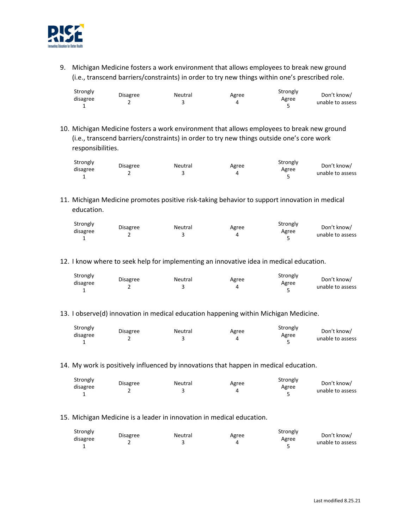

9. Michigan Medicine fosters a work environment that allows employees to break new ground (i.e., transcend barriers/constraints) in order to try new things within one's prescribed role.

| Strongly |                 |         |       | Strongly |                                 |
|----------|-----------------|---------|-------|----------|---------------------------------|
| disagree | <b>Disagree</b> | Neutral | Agree | Agree    | Don't know/<br>unable to assess |
|          |                 |         |       |          |                                 |

10. Michigan Medicine fosters a work environment that allows employees to break new ground (i.e., transcend barriers/constraints) in order to try new things outside one's core work responsibilities.

| Strongly |                 |         |       | Strongly |                                 |
|----------|-----------------|---------|-------|----------|---------------------------------|
| disagree | <b>Disagree</b> | Neutral | Agree | Agree    | Don't know/<br>unable to assess |
|          |                 |         |       |          |                                 |

11. Michigan Medicine promotes positive risk-taking behavior to support innovation in medical education.

|  | Strongly<br>disagree |  | <b>Disagree</b> | Neutral | Agree | Strongly<br>Agree | Don't know/<br>unable to assess |
|--|----------------------|--|-----------------|---------|-------|-------------------|---------------------------------|
|--|----------------------|--|-----------------|---------|-------|-------------------|---------------------------------|

12. I know where to seek help for implementing an innovative idea in medical education.

| Strongly |                 |         |       | Strongly |                  |
|----------|-----------------|---------|-------|----------|------------------|
| disagree | <b>Disagree</b> | Neutral | Agree |          | Don't know/      |
|          |                 |         |       | Agree    | unable to assess |
|          |                 |         |       |          |                  |

## 13. I observe(d) innovation in medical education happening within Michigan Medicine.

| Strongly |                 |         |       | Strongly |                  |
|----------|-----------------|---------|-------|----------|------------------|
|          | <b>Disagree</b> | Neutral | Agree |          | Don't know/      |
| disagree |                 |         |       | Agree    | unable to assess |
|          |                 |         |       |          |                  |

14. My work is positively influenced by innovations that happen in medical education.

| Strongly |                 | Neutral |       | Strongly | Don't know/      |
|----------|-----------------|---------|-------|----------|------------------|
| disagree | <b>Disagree</b> |         | Agree | Agree    |                  |
|          |                 |         |       |          | unable to assess |

15. Michigan Medicine is a leader in innovation in medical education.

| Strongly | <b>Disagree</b> | Neutral |       | Strongly | Don't know/      |
|----------|-----------------|---------|-------|----------|------------------|
| disagree |                 |         | Agree | Agree    | unable to assess |
|          |                 |         |       |          |                  |